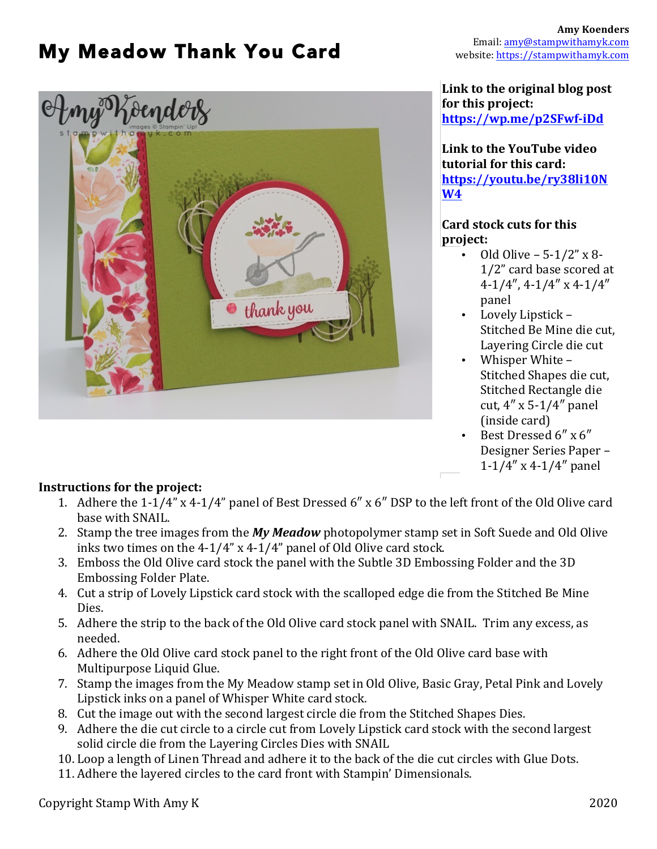# My Meadow Thank You Card



#### **Link to the original blog post for this project: https://wp.me/p2SFwf-iDd**

Link to the YouTube video **tutorial for this card: https://youtu.be/ry38li10N W4**

### **Card stock cuts for this project:**

- Old Olive 5-1/2" x 8- 1/2" card base scored at 4-1/4″, 4-1/4″ x 4-1/4″ panel
- Lovely Lipstick Stitched Be Mine die cut, Layering Circle die cut
- Whisper White Stitched Shapes die cut, Stitched Rectangle die cut, 4″ x 5-1/4″ panel (inside card)
- Best Dressed 6″ x 6″ Designer Series Paper – 1-1/4″ x 4-1/4″ panel

## **Instructions for the project:**

- 1. Adhere the  $1-1/4$ " x  $4-1/4$ " panel of Best Dressed  $6''$  x  $6''$  DSP to the left front of the Old Olive card base with SNAIL.
- 2. Stamp the tree images from the *My Meadow* photopolymer stamp set in Soft Suede and Old Olive inks two times on the  $4-1/4$ " x  $4-1/4$ " panel of Old Olive card stock.
- 3. Emboss the Old Olive card stock the panel with the Subtle 3D Embossing Folder and the 3D Embossing Folder Plate.
- 4. Cut a strip of Lovely Lipstick card stock with the scalloped edge die from the Stitched Be Mine Dies.
- 5. Adhere the strip to the back of the Old Olive card stock panel with SNAIL. Trim any excess, as needed.
- 6. Adhere the Old Olive card stock panel to the right front of the Old Olive card base with Multipurpose Liquid Glue.
- 7. Stamp the images from the My Meadow stamp set in Old Olive, Basic Gray, Petal Pink and Lovely Lipstick inks on a panel of Whisper White card stock.
- 8. Cut the image out with the second largest circle die from the Stitched Shapes Dies.
- 9. Adhere the die cut circle to a circle cut from Lovely Lipstick card stock with the second largest solid circle die from the Layering Circles Dies with SNAIL
- 10. Loop a length of Linen Thread and adhere it to the back of the die cut circles with Glue Dots.
- 11. Adhere the layered circles to the card front with Stampin' Dimensionals.

Copyright Stamp With Amy K 2020